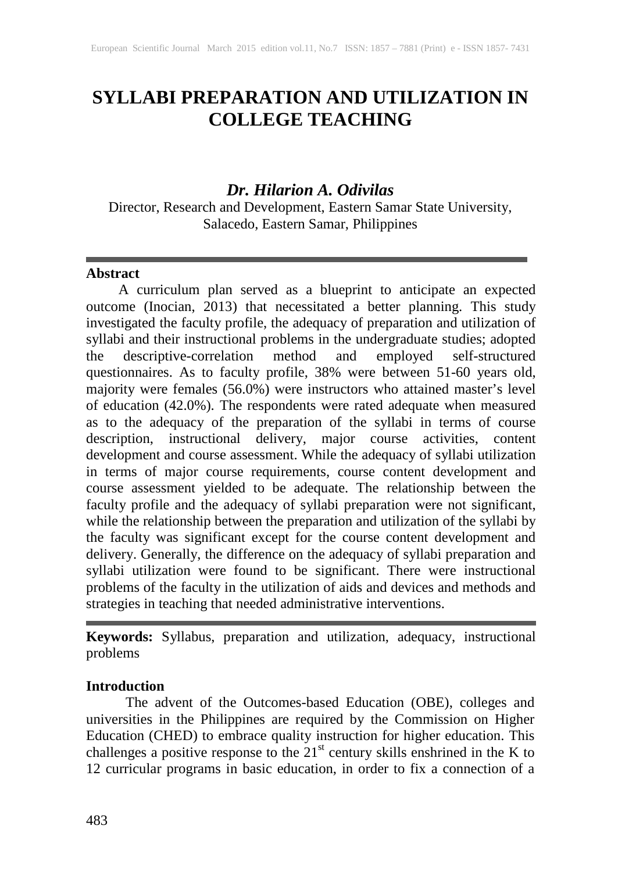# **SYLLABI PREPARATION AND UTILIZATION IN COLLEGE TEACHING**

# *Dr. Hilarion A. Odivilas*

Director, Research and Development, Eastern Samar State University, Salacedo, Eastern Samar, Philippines

#### **Abstract**

A curriculum plan served as a blueprint to anticipate an expected outcome (Inocian, 2013) that necessitated a better planning. This study investigated the faculty profile, the adequacy of preparation and utilization of syllabi and their instructional problems in the undergraduate studies; adopted<br>the descriptive-correlation method and employed self-structured the descriptive-correlation method and employed self-structured questionnaires. As to faculty profile, 38% were between 51-60 years old, majority were females (56.0%) were instructors who attained master's level of education (42.0%). The respondents were rated adequate when measured as to the adequacy of the preparation of the syllabi in terms of course description, instructional delivery, major course activities, content development and course assessment. While the adequacy of syllabi utilization in terms of major course requirements, course content development and course assessment yielded to be adequate. The relationship between the faculty profile and the adequacy of syllabi preparation were not significant, while the relationship between the preparation and utilization of the syllabi by the faculty was significant except for the course content development and delivery. Generally, the difference on the adequacy of syllabi preparation and syllabi utilization were found to be significant. There were instructional problems of the faculty in the utilization of aids and devices and methods and strategies in teaching that needed administrative interventions.

**Keywords:** Syllabus, preparation and utilization, adequacy, instructional problems

# **Introduction**

 The advent of the Outcomes-based Education (OBE), colleges and universities in the Philippines are required by the Commission on Higher Education (CHED) to embrace quality instruction for higher education. This challenges a positive response to the  $21<sup>st</sup>$  century skills enshrined in the K to 12 curricular programs in basic education, in order to fix a connection of a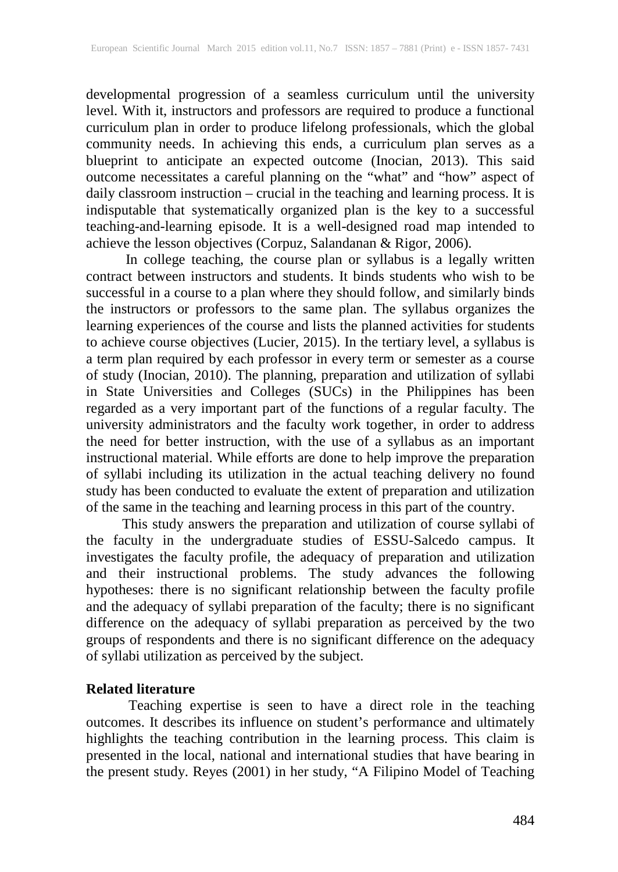developmental progression of a seamless curriculum until the university level. With it, instructors and professors are required to produce a functional curriculum plan in order to produce lifelong professionals, which the global community needs. In achieving this ends, a curriculum plan serves as a blueprint to anticipate an expected outcome (Inocian, 2013). This said outcome necessitates a careful planning on the "what" and "how" aspect of daily classroom instruction – crucial in the teaching and learning process. It is indisputable that systematically organized plan is the key to a successful teaching-and-learning episode. It is a well-designed road map intended to achieve the lesson objectives (Corpuz, Salandanan & Rigor, 2006).

 In college teaching, the course plan or syllabus is a legally written contract between instructors and students. It binds students who wish to be successful in a course to a plan where they should follow, and similarly binds the instructors or professors to the same plan. The syllabus organizes the learning experiences of the course and lists the planned activities for students to achieve course objectives (Lucier, 2015). In the tertiary level, a syllabus is a term plan required by each professor in every term or semester as a course of study (Inocian, 2010). The planning, preparation and utilization of syllabi in State Universities and Colleges (SUCs) in the Philippines has been regarded as a very important part of the functions of a regular faculty. The university administrators and the faculty work together, in order to address the need for better instruction, with the use of a syllabus as an important instructional material. While efforts are done to help improve the preparation of syllabi including its utilization in the actual teaching delivery no found study has been conducted to evaluate the extent of preparation and utilization of the same in the teaching and learning process in this part of the country.

 This study answers the preparation and utilization of course syllabi of the faculty in the undergraduate studies of ESSU-Salcedo campus. It investigates the faculty profile, the adequacy of preparation and utilization and their instructional problems. The study advances the following hypotheses: there is no significant relationship between the faculty profile and the adequacy of syllabi preparation of the faculty; there is no significant difference on the adequacy of syllabi preparation as perceived by the two groups of respondents and there is no significant difference on the adequacy of syllabi utilization as perceived by the subject.

#### **Related literature**

Teaching expertise is seen to have a direct role in the teaching outcomes. It describes its influence on student's performance and ultimately highlights the teaching contribution in the learning process. This claim is presented in the local, national and international studies that have bearing in the present study. Reyes (2001) in her study, "A Filipino Model of Teaching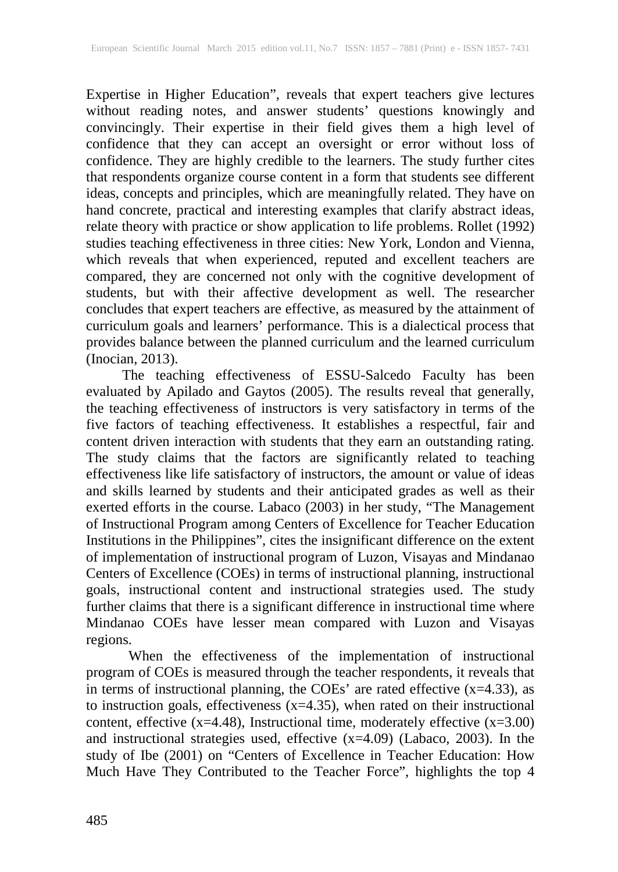Expertise in Higher Education", reveals that expert teachers give lectures without reading notes, and answer students' questions knowingly and convincingly. Their expertise in their field gives them a high level of confidence that they can accept an oversight or error without loss of confidence. They are highly credible to the learners. The study further cites that respondents organize course content in a form that students see different ideas, concepts and principles, which are meaningfully related. They have on hand concrete, practical and interesting examples that clarify abstract ideas, relate theory with practice or show application to life problems. Rollet (1992) studies teaching effectiveness in three cities: New York, London and Vienna, which reveals that when experienced, reputed and excellent teachers are compared, they are concerned not only with the cognitive development of students, but with their affective development as well. The researcher concludes that expert teachers are effective, as measured by the attainment of curriculum goals and learners' performance. This is a dialectical process that provides balance between the planned curriculum and the learned curriculum (Inocian, 2013).

 The teaching effectiveness of ESSU-Salcedo Faculty has been evaluated by Apilado and Gaytos (2005). The results reveal that generally, the teaching effectiveness of instructors is very satisfactory in terms of the five factors of teaching effectiveness. It establishes a respectful, fair and content driven interaction with students that they earn an outstanding rating. The study claims that the factors are significantly related to teaching effectiveness like life satisfactory of instructors, the amount or value of ideas and skills learned by students and their anticipated grades as well as their exerted efforts in the course. Labaco (2003) in her study, "The Management of Instructional Program among Centers of Excellence for Teacher Education Institutions in the Philippines", cites the insignificant difference on the extent of implementation of instructional program of Luzon, Visayas and Mindanao Centers of Excellence (COEs) in terms of instructional planning, instructional goals, instructional content and instructional strategies used. The study further claims that there is a significant difference in instructional time where Mindanao COEs have lesser mean compared with Luzon and Visayas regions.

When the effectiveness of the implementation of instructional program of COEs is measured through the teacher respondents, it reveals that in terms of instructional planning, the COEs' are rated effective  $(x=4.33)$ , as to instruction goals, effectiveness (x=4.35), when rated on their instructional content, effective  $(x=4.48)$ , Instructional time, moderately effective  $(x=3.00)$ and instructional strategies used, effective (x=4.09) (Labaco, 2003). In the study of Ibe (2001) on "Centers of Excellence in Teacher Education: How Much Have They Contributed to the Teacher Force", highlights the top 4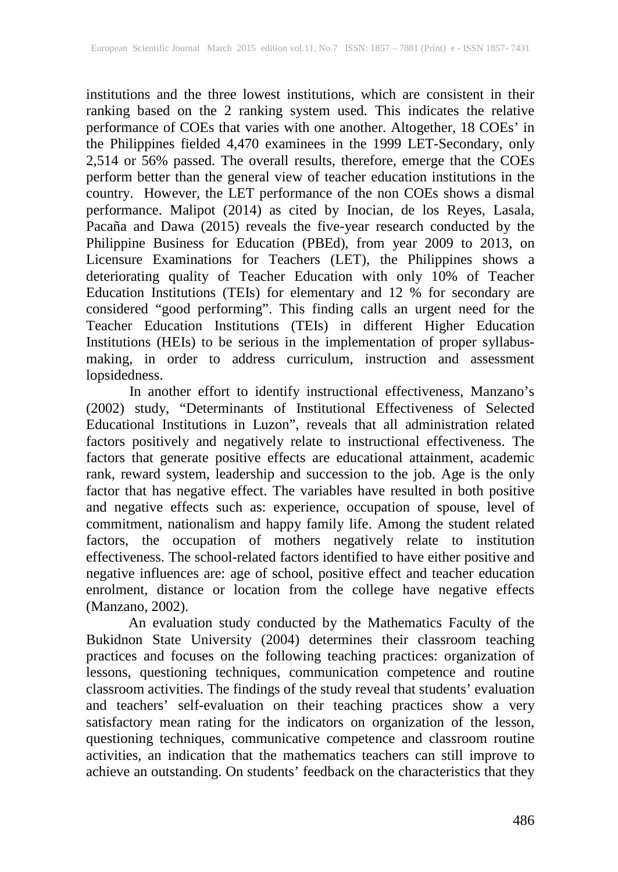institutions and the three lowest institutions, which are consistent in their ranking based on the 2 ranking system used. This indicates the relative performance of COEs that varies with one another. Altogether, 18 COEs' in the Philippines fielded 4,470 examinees in the 1999 LET-Secondary, only 2,514 or 56% passed. The overall results, therefore, emerge that the COEs perform better than the general view of teacher education institutions in the country. However, the LET performance of the non COEs shows a dismal performance. Malipot (2014) as cited by Inocian, de los Reyes, Lasala, Pacaña and Dawa (2015) reveals the five-year research conducted by the Philippine Business for Education (PBEd), from year 2009 to 2013, on Licensure Examinations for Teachers (LET), the Philippines shows a deteriorating quality of Teacher Education with only 10% of Teacher Education Institutions (TEIs) for elementary and 12 % for secondary are considered "good performing". This finding calls an urgent need for the Teacher Education Institutions (TEIs) in different Higher Education Institutions (HEIs) to be serious in the implementation of proper syllabusmaking, in order to address curriculum, instruction and assessment lopsidedness.

 In another effort to identify instructional effectiveness, Manzano's (2002) study, "Determinants of Institutional Effectiveness of Selected Educational Institutions in Luzon", reveals that all administration related factors positively and negatively relate to instructional effectiveness. The factors that generate positive effects are educational attainment, academic rank, reward system, leadership and succession to the job. Age is the only factor that has negative effect. The variables have resulted in both positive and negative effects such as: experience, occupation of spouse, level of commitment, nationalism and happy family life. Among the student related factors, the occupation of mothers negatively relate to institution effectiveness. The school-related factors identified to have either positive and negative influences are: age of school, positive effect and teacher education enrolment, distance or location from the college have negative effects (Manzano, 2002).

An evaluation study conducted by the Mathematics Faculty of the Bukidnon State University (2004) determines their classroom teaching practices and focuses on the following teaching practices: organization of lessons, questioning techniques, communication competence and routine classroom activities. The findings of the study reveal that students' evaluation and teachers' self-evaluation on their teaching practices show a very satisfactory mean rating for the indicators on organization of the lesson, questioning techniques, communicative competence and classroom routine activities, an indication that the mathematics teachers can still improve to achieve an outstanding. On students' feedback on the characteristics that they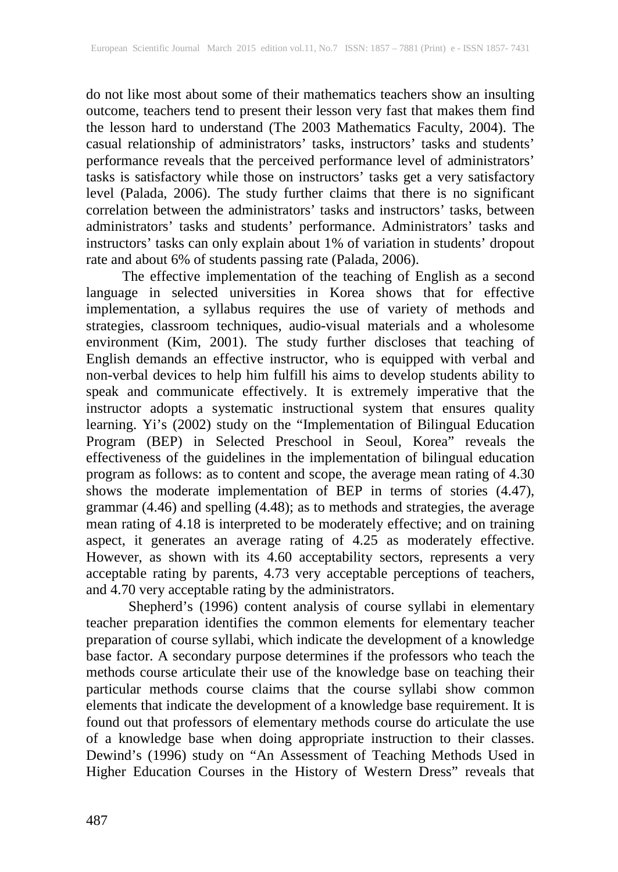do not like most about some of their mathematics teachers show an insulting outcome, teachers tend to present their lesson very fast that makes them find the lesson hard to understand (The 2003 Mathematics Faculty, 2004). The casual relationship of administrators' tasks, instructors' tasks and students' performance reveals that the perceived performance level of administrators' tasks is satisfactory while those on instructors' tasks get a very satisfactory level (Palada, 2006). The study further claims that there is no significant correlation between the administrators' tasks and instructors' tasks, between administrators' tasks and students' performance. Administrators' tasks and instructors' tasks can only explain about 1% of variation in students' dropout rate and about 6% of students passing rate (Palada, 2006).

 The effective implementation of the teaching of English as a second language in selected universities in Korea shows that for effective implementation, a syllabus requires the use of variety of methods and strategies, classroom techniques, audio-visual materials and a wholesome environment (Kim, 2001). The study further discloses that teaching of English demands an effective instructor, who is equipped with verbal and non-verbal devices to help him fulfill his aims to develop students ability to speak and communicate effectively. It is extremely imperative that the instructor adopts a systematic instructional system that ensures quality learning. Yi's (2002) study on the "Implementation of Bilingual Education Program (BEP) in Selected Preschool in Seoul, Korea" reveals the effectiveness of the guidelines in the implementation of bilingual education program as follows: as to content and scope, the average mean rating of 4.30 shows the moderate implementation of BEP in terms of stories (4.47), grammar (4.46) and spelling (4.48); as to methods and strategies, the average mean rating of 4.18 is interpreted to be moderately effective; and on training aspect, it generates an average rating of 4.25 as moderately effective. However, as shown with its 4.60 acceptability sectors, represents a very acceptable rating by parents, 4.73 very acceptable perceptions of teachers, and 4.70 very acceptable rating by the administrators.

Shepherd's (1996) content analysis of course syllabi in elementary teacher preparation identifies the common elements for elementary teacher preparation of course syllabi, which indicate the development of a knowledge base factor. A secondary purpose determines if the professors who teach the methods course articulate their use of the knowledge base on teaching their particular methods course claims that the course syllabi show common elements that indicate the development of a knowledge base requirement. It is found out that professors of elementary methods course do articulate the use of a knowledge base when doing appropriate instruction to their classes. Dewind's (1996) study on "An Assessment of Teaching Methods Used in Higher Education Courses in the History of Western Dress" reveals that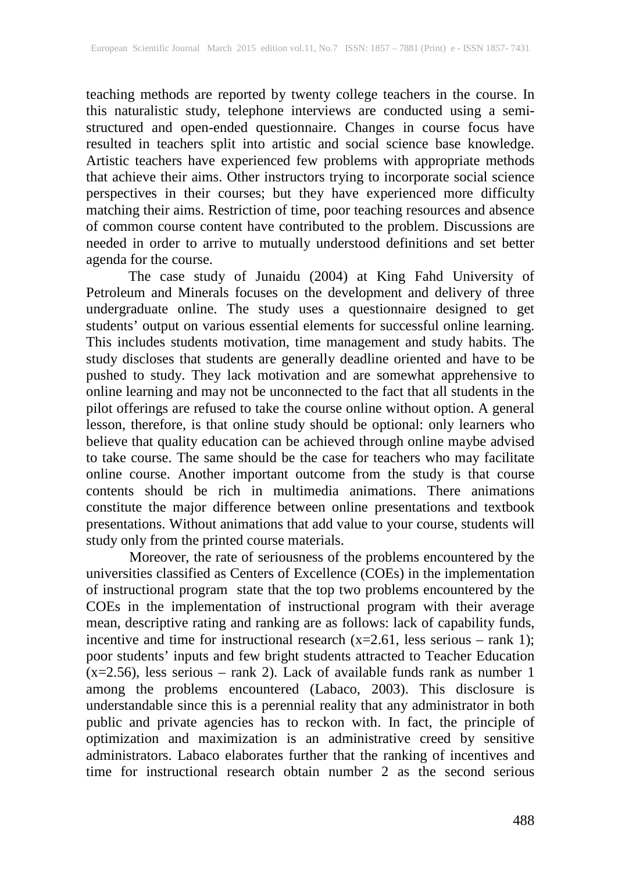teaching methods are reported by twenty college teachers in the course. In this naturalistic study, telephone interviews are conducted using a semistructured and open-ended questionnaire. Changes in course focus have resulted in teachers split into artistic and social science base knowledge. Artistic teachers have experienced few problems with appropriate methods that achieve their aims. Other instructors trying to incorporate social science perspectives in their courses; but they have experienced more difficulty matching their aims. Restriction of time, poor teaching resources and absence of common course content have contributed to the problem. Discussions are needed in order to arrive to mutually understood definitions and set better agenda for the course.

 The case study of Junaidu (2004) at King Fahd University of Petroleum and Minerals focuses on the development and delivery of three undergraduate online. The study uses a questionnaire designed to get students' output on various essential elements for successful online learning. This includes students motivation, time management and study habits. The study discloses that students are generally deadline oriented and have to be pushed to study. They lack motivation and are somewhat apprehensive to online learning and may not be unconnected to the fact that all students in the pilot offerings are refused to take the course online without option. A general lesson, therefore, is that online study should be optional: only learners who believe that quality education can be achieved through online maybe advised to take course. The same should be the case for teachers who may facilitate online course. Another important outcome from the study is that course contents should be rich in multimedia animations. There animations constitute the major difference between online presentations and textbook presentations. Without animations that add value to your course, students will study only from the printed course materials.

Moreover, the rate of seriousness of the problems encountered by the universities classified as Centers of Excellence (COEs) in the implementation of instructional program state that the top two problems encountered by the COEs in the implementation of instructional program with their average mean, descriptive rating and ranking are as follows: lack of capability funds, incentive and time for instructional research  $(x=2.61)$ , less serious – rank 1); poor students' inputs and few bright students attracted to Teacher Education (x=2.56), less serious – rank 2). Lack of available funds rank as number 1 among the problems encountered (Labaco, 2003). This disclosure is understandable since this is a perennial reality that any administrator in both public and private agencies has to reckon with. In fact, the principle of optimization and maximization is an administrative creed by sensitive administrators. Labaco elaborates further that the ranking of incentives and time for instructional research obtain number 2 as the second serious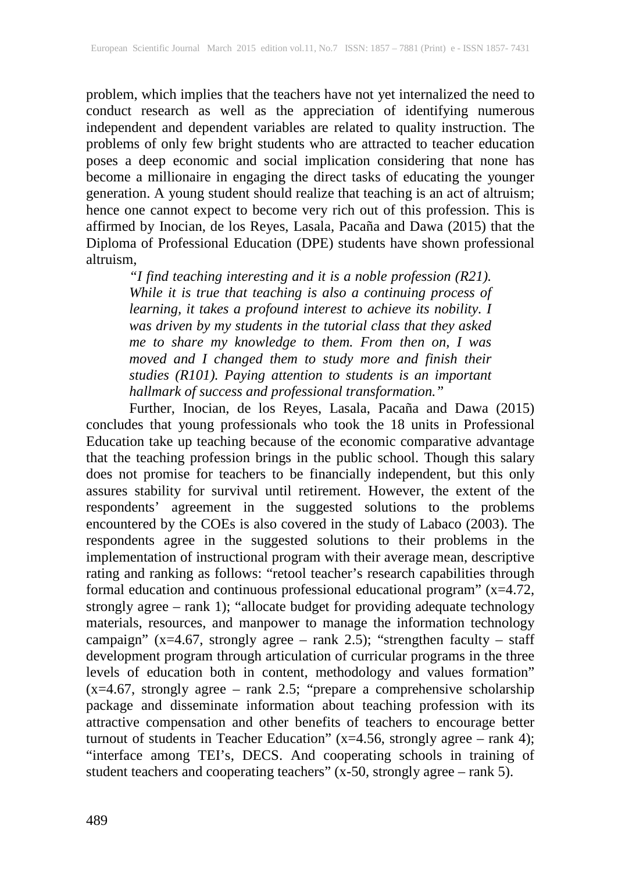problem, which implies that the teachers have not yet internalized the need to conduct research as well as the appreciation of identifying numerous independent and dependent variables are related to quality instruction. The problems of only few bright students who are attracted to teacher education poses a deep economic and social implication considering that none has become a millionaire in engaging the direct tasks of educating the younger generation. A young student should realize that teaching is an act of altruism; hence one cannot expect to become very rich out of this profession. This is affirmed by Inocian, de los Reyes, Lasala, Pacaña and Dawa (2015) that the Diploma of Professional Education (DPE) students have shown professional altruism,

*"I find teaching interesting and it is a noble profession (R21). While it is true that teaching is also a continuing process of learning, it takes a profound interest to achieve its nobility. I was driven by my students in the tutorial class that they asked me to share my knowledge to them. From then on, I was moved and I changed them to study more and finish their studies (R101). Paying attention to students is an important hallmark of success and professional transformation."*

 Further, Inocian, de los Reyes, Lasala, Pacaña and Dawa (2015) concludes that young professionals who took the 18 units in Professional Education take up teaching because of the economic comparative advantage that the teaching profession brings in the public school. Though this salary does not promise for teachers to be financially independent, but this only assures stability for survival until retirement. However, the extent of the respondents' agreement in the suggested solutions to the problems encountered by the COEs is also covered in the study of Labaco (2003). The respondents agree in the suggested solutions to their problems in the implementation of instructional program with their average mean, descriptive rating and ranking as follows: "retool teacher's research capabilities through formal education and continuous professional educational program"  $(x=4.72,$ strongly agree – rank 1); "allocate budget for providing adequate technology materials, resources, and manpower to manage the information technology campaign" (x=4.67, strongly agree – rank 2.5); "strengthen faculty – staff development program through articulation of curricular programs in the three levels of education both in content, methodology and values formation"  $(x=4.67,$  strongly agree – rank 2.5; "prepare a comprehensive scholarship package and disseminate information about teaching profession with its attractive compensation and other benefits of teachers to encourage better turnout of students in Teacher Education" (x=4.56, strongly agree – rank 4); "interface among TEI's, DECS. And cooperating schools in training of student teachers and cooperating teachers" (x-50, strongly agree – rank 5).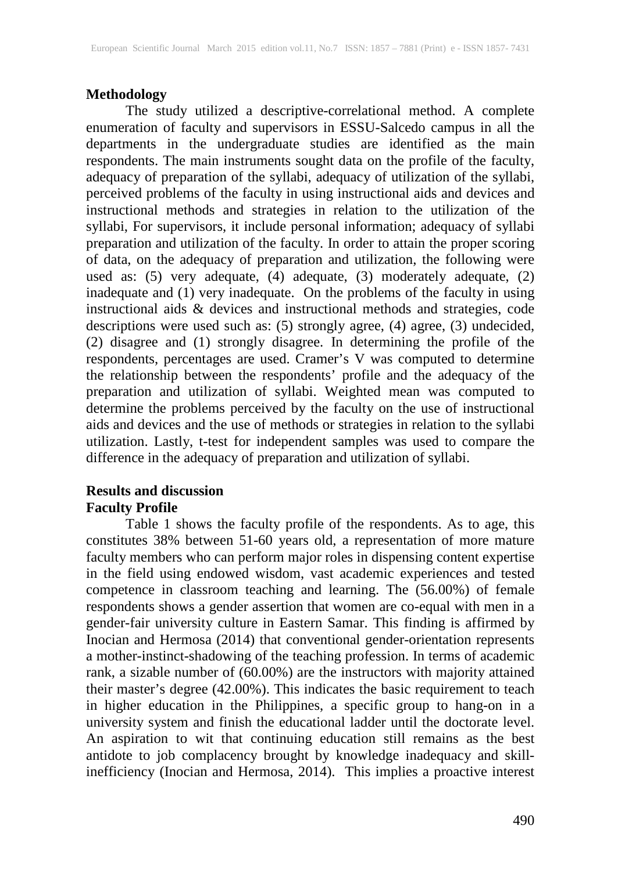## **Methodology**

 The study utilized a descriptive-correlational method. A complete enumeration of faculty and supervisors in ESSU-Salcedo campus in all the departments in the undergraduate studies are identified as the main respondents. The main instruments sought data on the profile of the faculty, adequacy of preparation of the syllabi, adequacy of utilization of the syllabi, perceived problems of the faculty in using instructional aids and devices and instructional methods and strategies in relation to the utilization of the syllabi, For supervisors, it include personal information; adequacy of syllabi preparation and utilization of the faculty. In order to attain the proper scoring of data, on the adequacy of preparation and utilization, the following were used as: (5) very adequate, (4) adequate, (3) moderately adequate, (2) inadequate and (1) very inadequate. On the problems of the faculty in using instructional aids & devices and instructional methods and strategies, code descriptions were used such as: (5) strongly agree, (4) agree, (3) undecided, (2) disagree and (1) strongly disagree. In determining the profile of the respondents, percentages are used. Cramer's V was computed to determine the relationship between the respondents' profile and the adequacy of the preparation and utilization of syllabi. Weighted mean was computed to determine the problems perceived by the faculty on the use of instructional aids and devices and the use of methods or strategies in relation to the syllabi utilization. Lastly, t-test for independent samples was used to compare the difference in the adequacy of preparation and utilization of syllabi.

## **Results and discussion Faculty Profile**

 Table 1 shows the faculty profile of the respondents. As to age, this constitutes 38% between 51-60 years old, a representation of more mature faculty members who can perform major roles in dispensing content expertise in the field using endowed wisdom, vast academic experiences and tested competence in classroom teaching and learning. The (56.00%) of female respondents shows a gender assertion that women are co-equal with men in a gender-fair university culture in Eastern Samar. This finding is affirmed by Inocian and Hermosa (2014) that conventional gender-orientation represents a mother-instinct-shadowing of the teaching profession. In terms of academic rank, a sizable number of (60.00%) are the instructors with majority attained their master's degree (42.00%). This indicates the basic requirement to teach in higher education in the Philippines, a specific group to hang-on in a university system and finish the educational ladder until the doctorate level. An aspiration to wit that continuing education still remains as the best antidote to job complacency brought by knowledge inadequacy and skillinefficiency (Inocian and Hermosa, 2014). This implies a proactive interest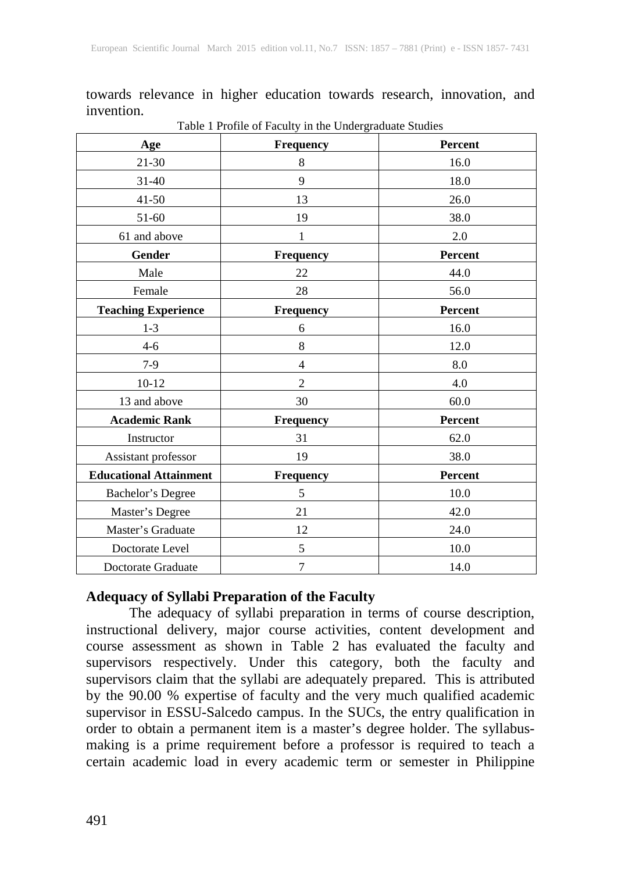towards relevance in higher education towards research, innovation, and invention.

| Age                           | Frequency        | Percent |
|-------------------------------|------------------|---------|
| 21-30                         | 8                | 16.0    |
| $31 - 40$                     | 9                | 18.0    |
| $41 - 50$                     | 13               | 26.0    |
| 51-60                         | 19               | 38.0    |
| 61 and above                  | 1                | 2.0     |
| Gender                        | <b>Frequency</b> | Percent |
| Male                          | 22               | 44.0    |
| Female                        | 28               | 56.0    |
| <b>Teaching Experience</b>    | Frequency        | Percent |
| $1 - 3$                       | 6                | 16.0    |
| $4 - 6$                       | $8\,$            | 12.0    |
| $7-9$                         | $\overline{4}$   | 8.0     |
| $10-12$                       | $\overline{2}$   | 4.0     |
| 13 and above                  | 30               | 60.0    |
| <b>Academic Rank</b>          | <b>Frequency</b> | Percent |
| Instructor                    | 31               | 62.0    |
| Assistant professor           | 19               | 38.0    |
| <b>Educational Attainment</b> | <b>Frequency</b> | Percent |
| Bachelor's Degree             | 5                | 10.0    |
| Master's Degree               | 21               | 42.0    |
| Master's Graduate             | 12               | 24.0    |
| Doctorate Level               | 5                | 10.0    |
| Doctorate Graduate            | $\tau$           | 14.0    |

Table 1 Profile of Faculty in the Undergraduate Studies

#### **Adequacy of Syllabi Preparation of the Faculty**

 The adequacy of syllabi preparation in terms of course description, instructional delivery, major course activities, content development and course assessment as shown in Table 2 has evaluated the faculty and supervisors respectively. Under this category, both the faculty and supervisors claim that the syllabi are adequately prepared. This is attributed by the 90.00 % expertise of faculty and the very much qualified academic supervisor in ESSU-Salcedo campus. In the SUCs, the entry qualification in order to obtain a permanent item is a master's degree holder. The syllabusmaking is a prime requirement before a professor is required to teach a certain academic load in every academic term or semester in Philippine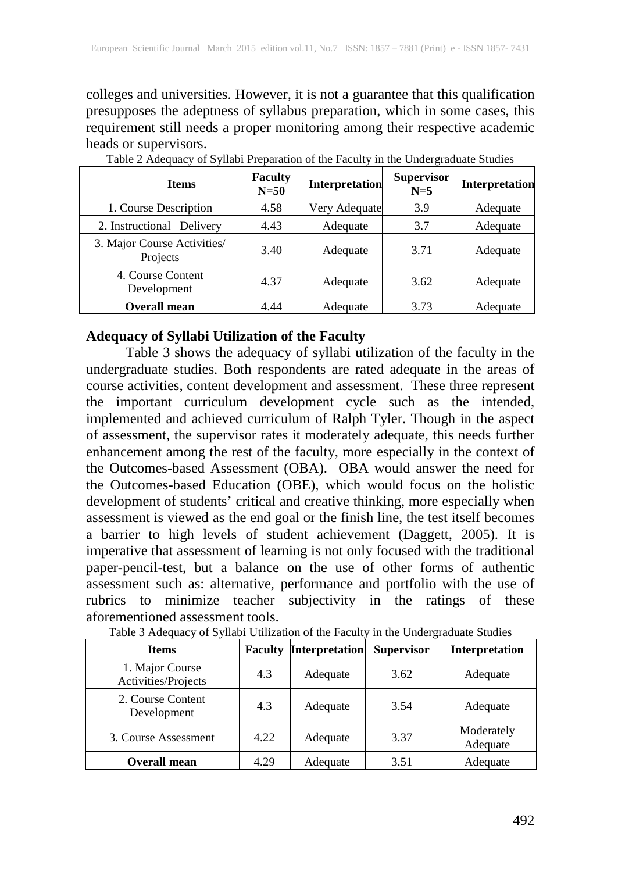colleges and universities. However, it is not a guarantee that this qualification presupposes the adeptness of syllabus preparation, which in some cases, this requirement still needs a proper monitoring among their respective academic heads or supervisors.

| <b>Items</b>                            | <b>Faculty</b><br>$N=50$ | Interpretation | <b>Supervisor</b><br>$N=5$ | Interpretation |
|-----------------------------------------|--------------------------|----------------|----------------------------|----------------|
| 1. Course Description                   | 4.58                     | Very Adequate  | 3.9                        | Adequate       |
| 2. Instructional Delivery               | 4.43                     | Adequate       | 3.7                        | Adequate       |
| 3. Major Course Activities/<br>Projects | 3.40                     | Adequate       | 3.71                       | Adequate       |
| 4. Course Content<br>Development        | 4.37                     | Adequate       | 3.62                       | Adequate       |
| <b>Overall mean</b>                     | 4.44                     | Adequate       | 3.73                       | Adequate       |

Table 2 Adequacy of Syllabi Preparation of the Faculty in the Undergraduate Studies

# **Adequacy of Syllabi Utilization of the Faculty**

 Table 3 shows the adequacy of syllabi utilization of the faculty in the undergraduate studies. Both respondents are rated adequate in the areas of course activities, content development and assessment. These three represent the important curriculum development cycle such as the intended, implemented and achieved curriculum of Ralph Tyler. Though in the aspect of assessment, the supervisor rates it moderately adequate, this needs further enhancement among the rest of the faculty, more especially in the context of the Outcomes-based Assessment (OBA). OBA would answer the need for the Outcomes-based Education (OBE), which would focus on the holistic development of students' critical and creative thinking, more especially when assessment is viewed as the end goal or the finish line, the test itself becomes a barrier to high levels of student achievement (Daggett, 2005). It is imperative that assessment of learning is not only focused with the traditional paper-pencil-test, but a balance on the use of other forms of authentic assessment such as: alternative, performance and portfolio with the use of rubrics to minimize teacher subjectivity in the ratings of these aforementioned assessment tools.

| <b>Items</b>                           |      | <b>Faculty Interpretation</b> | <b>Supervisor</b> | Interpretation         |
|----------------------------------------|------|-------------------------------|-------------------|------------------------|
| 1. Major Course<br>Activities/Projects | 4.3  | Adequate                      | 3.62              | Adequate               |
| 2. Course Content<br>Development       | 4.3  | Adequate                      | 3.54              | Adequate               |
| 3. Course Assessment                   | 4.22 | Adequate                      | 3.37              | Moderately<br>Adequate |
| <b>Overall mean</b>                    | 4.29 | Adequate                      | 3.51              | Adequate               |

Table 3 Adequacy of Syllabi Utilization of the Faculty in the Undergraduate Studies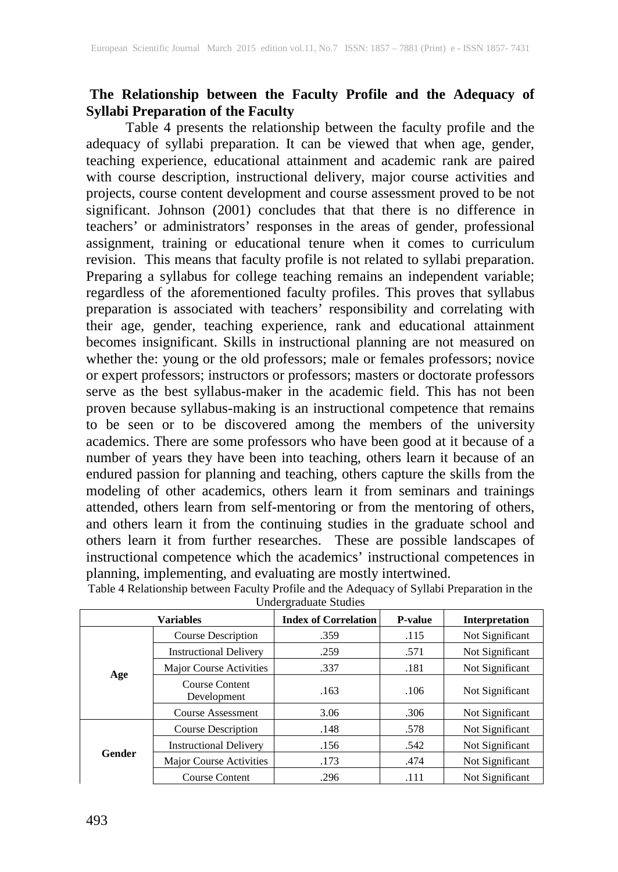## **The Relationship between the Faculty Profile and the Adequacy of Syllabi Preparation of the Faculty**

 Table 4 presents the relationship between the faculty profile and the adequacy of syllabi preparation. It can be viewed that when age, gender, teaching experience, educational attainment and academic rank are paired with course description, instructional delivery, major course activities and projects, course content development and course assessment proved to be not significant. Johnson (2001) concludes that that there is no difference in teachers' or administrators' responses in the areas of gender, professional assignment, training or educational tenure when it comes to curriculum revision. This means that faculty profile is not related to syllabi preparation. Preparing a syllabus for college teaching remains an independent variable; regardless of the aforementioned faculty profiles. This proves that syllabus preparation is associated with teachers' responsibility and correlating with their age, gender, teaching experience, rank and educational attainment becomes insignificant. Skills in instructional planning are not measured on whether the: young or the old professors; male or females professors; novice or expert professors; instructors or professors; masters or doctorate professors serve as the best syllabus-maker in the academic field. This has not been proven because syllabus-making is an instructional competence that remains to be seen or to be discovered among the members of the university academics. There are some professors who have been good at it because of a number of years they have been into teaching, others learn it because of an endured passion for planning and teaching, others capture the skills from the modeling of other academics, others learn it from seminars and trainings attended, others learn from self-mentoring or from the mentoring of others, and others learn it from the continuing studies in the graduate school and others learn it from further researches. These are possible landscapes of instructional competence which the academics' instructional competences in planning, implementing, and evaluating are mostly intertwined.

| <b>Variables</b> |                               | <b>Index of Correlation</b> | <b>P-value</b> | <b>Interpretation</b> |
|------------------|-------------------------------|-----------------------------|----------------|-----------------------|
|                  | Course Description            | .359                        | .115           | Not Significant       |
|                  | <b>Instructional Delivery</b> | .259                        | .571           | Not Significant       |
|                  | Major Course Activities       | .337                        | .181           | Not Significant       |
| Age              | Course Content<br>Development | .163                        | .106           | Not Significant       |
|                  | <b>Course Assessment</b>      | 3.06                        | .306           | Not Significant       |
|                  | Course Description            | .148                        | .578           | Not Significant       |
| <b>Gender</b>    | <b>Instructional Delivery</b> | .156                        | .542           | Not Significant       |
|                  | Major Course Activities       | .173                        | .474           | Not Significant       |
|                  | <b>Course Content</b>         | .296                        | .111           | Not Significant       |

Table 4 Relationship between Faculty Profile and the Adequacy of Syllabi Preparation in the Undergraduate Studies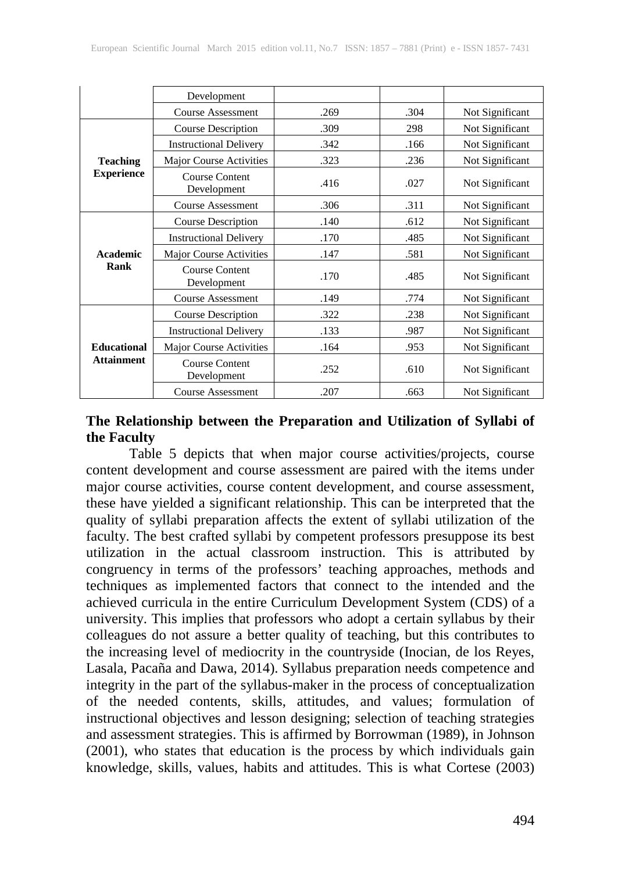|                                         | Development                          |      |      |                 |
|-----------------------------------------|--------------------------------------|------|------|-----------------|
|                                         | <b>Course Assessment</b>             | .269 | .304 | Not Significant |
|                                         | <b>Course Description</b>            | .309 | 298  | Not Significant |
|                                         | <b>Instructional Delivery</b>        | .342 | .166 | Not Significant |
| <b>Teaching</b>                         | Major Course Activities              | .323 | .236 | Not Significant |
| <b>Experience</b>                       | Course Content<br>Development        | .416 | .027 | Not Significant |
|                                         | Course Assessment                    | .306 | .311 | Not Significant |
|                                         | <b>Course Description</b>            | .140 | .612 | Not Significant |
| Academic<br>Rank                        | <b>Instructional Delivery</b>        | .170 | .485 | Not Significant |
|                                         | Major Course Activities              | .147 | .581 | Not Significant |
|                                         | <b>Course Content</b><br>Development | .170 | .485 | Not Significant |
|                                         | Course Assessment                    | .149 | .774 | Not Significant |
|                                         | <b>Course Description</b>            | .322 | .238 | Not Significant |
|                                         | <b>Instructional Delivery</b>        | .133 | .987 | Not Significant |
| <b>Educational</b><br><b>Attainment</b> | Major Course Activities              | .164 | .953 | Not Significant |
|                                         | <b>Course Content</b><br>Development | .252 | .610 | Not Significant |
|                                         | Course Assessment                    | .207 | .663 | Not Significant |

# **The Relationship between the Preparation and Utilization of Syllabi of the Faculty**

 Table 5 depicts that when major course activities/projects, course content development and course assessment are paired with the items under major course activities, course content development, and course assessment, these have yielded a significant relationship. This can be interpreted that the quality of syllabi preparation affects the extent of syllabi utilization of the faculty. The best crafted syllabi by competent professors presuppose its best utilization in the actual classroom instruction. This is attributed by congruency in terms of the professors' teaching approaches, methods and techniques as implemented factors that connect to the intended and the achieved curricula in the entire Curriculum Development System (CDS) of a university. This implies that professors who adopt a certain syllabus by their colleagues do not assure a better quality of teaching, but this contributes to the increasing level of mediocrity in the countryside (Inocian, de los Reyes, Lasala, Pacaña and Dawa, 2014). Syllabus preparation needs competence and integrity in the part of the syllabus-maker in the process of conceptualization of the needed contents, skills, attitudes, and values; formulation of instructional objectives and lesson designing; selection of teaching strategies and assessment strategies. This is affirmed by Borrowman (1989), in Johnson (2001), who states that education is the process by which individuals gain knowledge, skills, values, habits and attitudes. This is what Cortese (2003)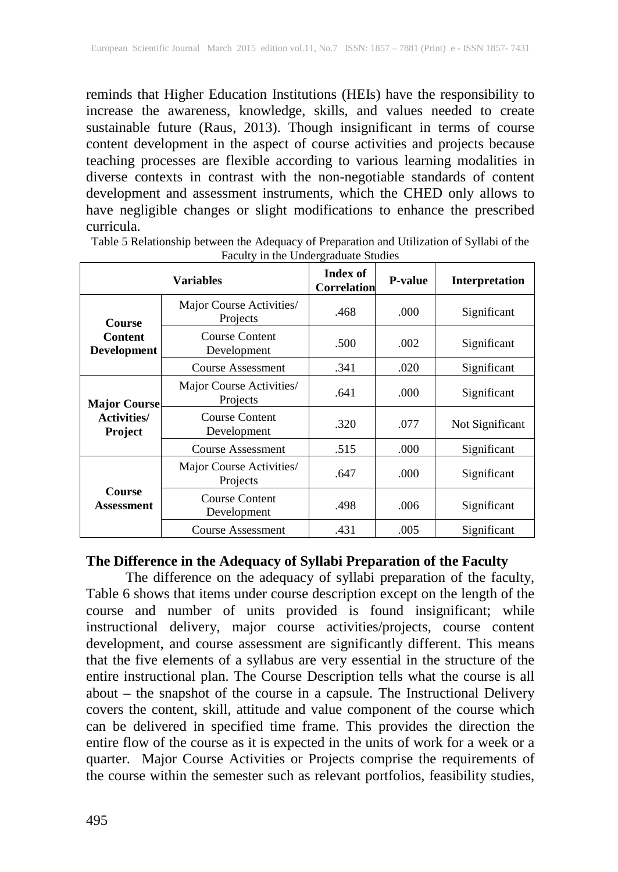reminds that Higher Education Institutions (HEIs) have the responsibility to increase the awareness, knowledge, skills, and values needed to create sustainable future (Raus, 2013). Though insignificant in terms of course content development in the aspect of course activities and projects because teaching processes are flexible according to various learning modalities in diverse contexts in contrast with the non-negotiable standards of content development and assessment instruments, which the CHED only allows to have negligible changes or slight modifications to enhance the prescribed curricula.

| <b>Variables</b>                                     |                                      | Index of<br><b>Correlation</b> | <b>P-value</b> | <b>Interpretation</b> |
|------------------------------------------------------|--------------------------------------|--------------------------------|----------------|-----------------------|
| <b>Course</b>                                        | Major Course Activities/<br>Projects | .468                           | .000           | Significant           |
| <b>Content</b><br><b>Development</b>                 | <b>Course Content</b><br>Development | .500                           | .002           | Significant           |
|                                                      | <b>Course Assessment</b>             | .341                           | .020           | Significant           |
| <b>Major Course</b><br><b>Activities/</b><br>Project | Major Course Activities/<br>Projects | .641                           | .000           | Significant           |
|                                                      | <b>Course Content</b><br>Development | .320                           | .077           | Not Significant       |
|                                                      | Course Assessment                    | .515                           | .000           | Significant           |
|                                                      | Major Course Activities/<br>Projects | .647                           | .000           | Significant           |
| <b>Course</b><br><b>Assessment</b>                   | <b>Course Content</b><br>Development | .498                           | .006           | Significant           |
|                                                      | <b>Course Assessment</b>             | .431                           | .005           | Significant           |

Table 5 Relationship between the Adequacy of Preparation and Utilization of Syllabi of the Faculty in the Undergraduate Studies

## **The Difference in the Adequacy of Syllabi Preparation of the Faculty**

 The difference on the adequacy of syllabi preparation of the faculty, Table 6 shows that items under course description except on the length of the course and number of units provided is found insignificant; while instructional delivery, major course activities/projects, course content development, and course assessment are significantly different. This means that the five elements of a syllabus are very essential in the structure of the entire instructional plan. The Course Description tells what the course is all about – the snapshot of the course in a capsule. The Instructional Delivery covers the content, skill, attitude and value component of the course which can be delivered in specified time frame. This provides the direction the entire flow of the course as it is expected in the units of work for a week or a quarter. Major Course Activities or Projects comprise the requirements of the course within the semester such as relevant portfolios, feasibility studies,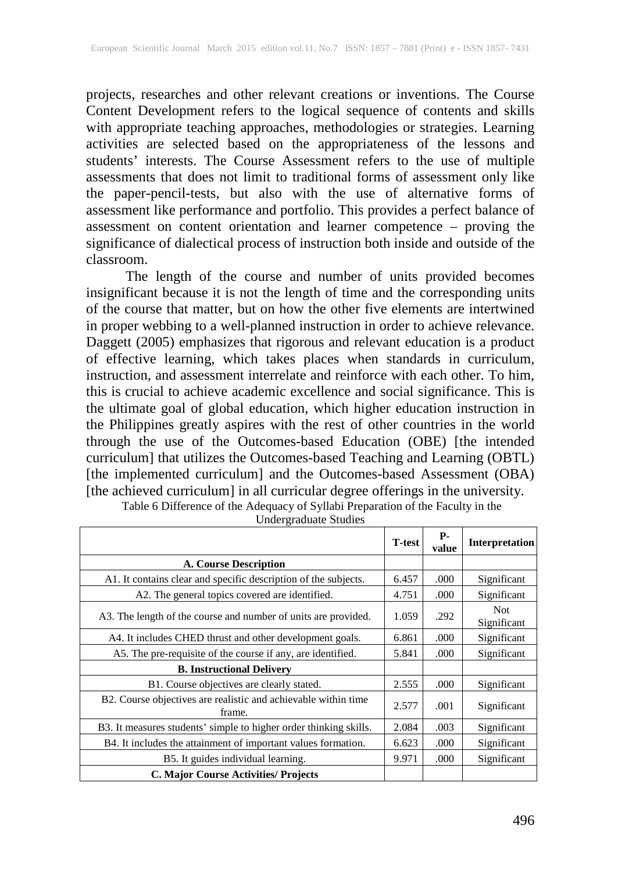projects, researches and other relevant creations or inventions. The Course Content Development refers to the logical sequence of contents and skills with appropriate teaching approaches, methodologies or strategies. Learning activities are selected based on the appropriateness of the lessons and students' interests. The Course Assessment refers to the use of multiple assessments that does not limit to traditional forms of assessment only like the paper-pencil-tests, but also with the use of alternative forms of assessment like performance and portfolio. This provides a perfect balance of assessment on content orientation and learner competence – proving the significance of dialectical process of instruction both inside and outside of the classroom.

 The length of the course and number of units provided becomes insignificant because it is not the length of time and the corresponding units of the course that matter, but on how the other five elements are intertwined in proper webbing to a well-planned instruction in order to achieve relevance. Daggett (2005) emphasizes that rigorous and relevant education is a product of effective learning, which takes places when standards in curriculum, instruction, and assessment interrelate and reinforce with each other. To him, this is crucial to achieve academic excellence and social significance. This is the ultimate goal of global education, which higher education instruction in the Philippines greatly aspires with the rest of other countries in the world through the use of the Outcomes-based Education (OBE) [the intended curriculum] that utilizes the Outcomes-based Teaching and Learning (OBTL) [the implemented curriculum] and the Outcomes-based Assessment (OBA) [the achieved curriculum] in all curricular degree offerings in the university.

|                                                                          | <b>T-test</b> | <b>P</b> -<br>value | Interpretation            |
|--------------------------------------------------------------------------|---------------|---------------------|---------------------------|
| A. Course Description                                                    |               |                     |                           |
| A1. It contains clear and specific description of the subjects.          | 6.457         | .000                | Significant               |
| A2. The general topics covered are identified.                           | 4.751         | .000                | Significant               |
| A3. The length of the course and number of units are provided.           | 1.059         | .292                | <b>Not</b><br>Significant |
| A4. It includes CHED thrust and other development goals.                 | 6.861         | .000                | Significant               |
| A5. The pre-requisite of the course if any, are identified.              | 5.841         | .000                | Significant               |
| <b>B.</b> Instructional Delivery                                         |               |                     |                           |
| B1. Course objectives are clearly stated.                                | 2.555         | .000                | Significant               |
| B2. Course objectives are realistic and achievable within time<br>frame. | 2.577         | .001                | Significant               |
| B3. It measures students' simple to higher order thinking skills.        | 2.084         | .003                | Significant               |
| B4. It includes the attainment of important values formation.            | 6.623         | .000                | Significant               |
| B5. It guides individual learning.                                       | 9.971         | .000                | Significant               |
| <b>C. Major Course Activities/ Projects</b>                              |               |                     |                           |

Table 6 Difference of the Adequacy of Syllabi Preparation of the Faculty in the Undergraduate Studies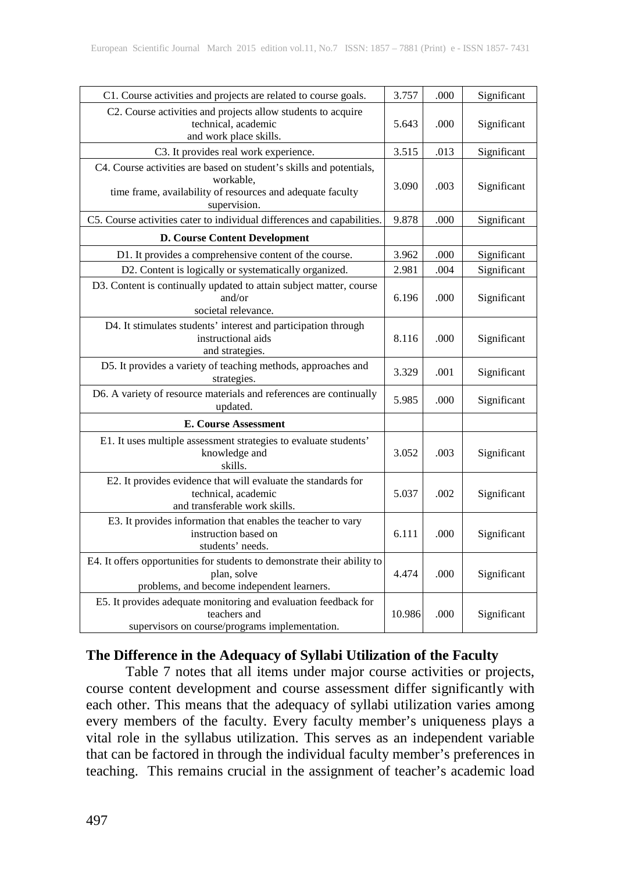| C1. Course activities and projects are related to course goals.                                                                                                | 3.757  | .000 | Significant |
|----------------------------------------------------------------------------------------------------------------------------------------------------------------|--------|------|-------------|
| C2. Course activities and projects allow students to acquire<br>technical, academic<br>and work place skills.                                                  | 5.643  | .000 | Significant |
| C3. It provides real work experience.                                                                                                                          | 3.515  | .013 | Significant |
| C4. Course activities are based on student's skills and potentials,<br>workable,<br>time frame, availability of resources and adequate faculty<br>supervision. | 3.090  | .003 | Significant |
| C5. Course activities cater to individual differences and capabilities.                                                                                        | 9.878  | .000 | Significant |
| <b>D. Course Content Development</b>                                                                                                                           |        |      |             |
| D1. It provides a comprehensive content of the course.                                                                                                         | 3.962  | .000 | Significant |
| D2. Content is logically or systematically organized.                                                                                                          | 2.981  | .004 | Significant |
| D3. Content is continually updated to attain subject matter, course<br>and/or<br>societal relevance.                                                           | 6.196  | .000 | Significant |
| D4. It stimulates students' interest and participation through<br>instructional aids<br>and strategies.                                                        | 8.116  | .000 | Significant |
| D5. It provides a variety of teaching methods, approaches and<br>strategies.                                                                                   | 3.329  | .001 | Significant |
| D6. A variety of resource materials and references are continually<br>updated.                                                                                 | 5.985  | .000 | Significant |
| E. Course Assessment                                                                                                                                           |        |      |             |
| E1. It uses multiple assessment strategies to evaluate students'<br>knowledge and<br>skills.                                                                   | 3.052  | .003 | Significant |
| E2. It provides evidence that will evaluate the standards for<br>technical, academic<br>and transferable work skills.                                          | 5.037  | .002 | Significant |
| E3. It provides information that enables the teacher to vary<br>instruction based on<br>students' needs.                                                       | 6.111  | .000 | Significant |
| E4. It offers opportunities for students to demonstrate their ability to<br>plan, solve<br>problems, and become independent learners.                          | 4.474  | .000 | Significant |
| E5. It provides adequate monitoring and evaluation feedback for<br>teachers and<br>supervisors on course/programs implementation.                              | 10.986 | .000 | Significant |

# **The Difference in the Adequacy of Syllabi Utilization of the Faculty**

 Table 7 notes that all items under major course activities or projects, course content development and course assessment differ significantly with each other. This means that the adequacy of syllabi utilization varies among every members of the faculty. Every faculty member's uniqueness plays a vital role in the syllabus utilization. This serves as an independent variable that can be factored in through the individual faculty member's preferences in teaching. This remains crucial in the assignment of teacher's academic load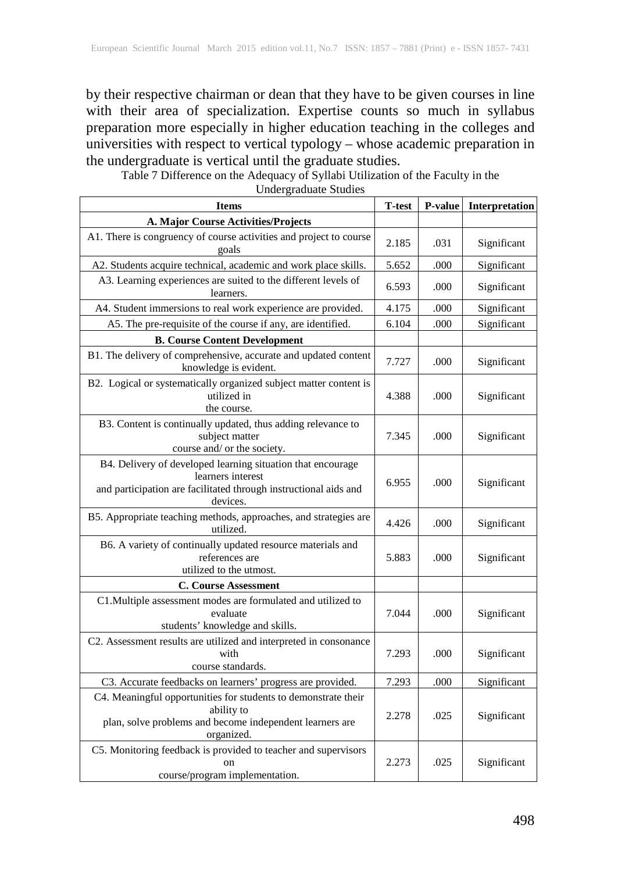by their respective chairman or dean that they have to be given courses in line with their area of specialization. Expertise counts so much in syllabus preparation more especially in higher education teaching in the colleges and universities with respect to vertical typology – whose academic preparation in the undergraduate is vertical until the graduate studies.

Table 7 Difference on the Adequacy of Syllabi Utilization of the Faculty in the

Undergraduate Studies

| <b>Items</b>                                                                                                                                                     | <b>T-test</b> | P-value | Interpretation |
|------------------------------------------------------------------------------------------------------------------------------------------------------------------|---------------|---------|----------------|
| A. Major Course Activities/Projects                                                                                                                              |               |         |                |
| A1. There is congruency of course activities and project to course<br>goals                                                                                      | 2.185         | .031    | Significant    |
| A2. Students acquire technical, academic and work place skills.                                                                                                  | 5.652         | .000    | Significant    |
| A3. Learning experiences are suited to the different levels of<br>learners.                                                                                      | 6.593         | .000    | Significant    |
| A4. Student immersions to real work experience are provided.                                                                                                     | 4.175         | .000    | Significant    |
| A5. The pre-requisite of the course if any, are identified.                                                                                                      | 6.104         | .000    | Significant    |
| <b>B. Course Content Development</b>                                                                                                                             |               |         |                |
| B1. The delivery of comprehensive, accurate and updated content<br>knowledge is evident.                                                                         | 7.727         | .000    | Significant    |
| B2. Logical or systematically organized subject matter content is<br>utilized in<br>the course.                                                                  | 4.388         | .000    | Significant    |
| B3. Content is continually updated, thus adding relevance to<br>subject matter<br>course and/ or the society.                                                    | 7.345         | .000    | Significant    |
| B4. Delivery of developed learning situation that encourage<br>learners interest<br>and participation are facilitated through instructional aids and<br>devices. | 6.955         | .000    | Significant    |
| B5. Appropriate teaching methods, approaches, and strategies are<br>utilized.                                                                                    | 4.426         | .000    | Significant    |
| B6. A variety of continually updated resource materials and<br>references are<br>utilized to the utmost.                                                         | 5.883         | .000    | Significant    |
| <b>C. Course Assessment</b>                                                                                                                                      |               |         |                |
| C1. Multiple assessment modes are formulated and utilized to<br>evaluate<br>students' knowledge and skills.                                                      | 7.044         | .000    | Significant    |
| C2. Assessment results are utilized and interpreted in consonance<br>with<br>course standards.                                                                   | 7.293         | .000    | Significant    |
| C3. Accurate feedbacks on learners' progress are provided.                                                                                                       | 7.293         | .000    | Significant    |
| C4. Meaningful opportunities for students to demonstrate their<br>ability to<br>plan, solve problems and become independent learners are<br>organized.           | 2.278         | .025    | Significant    |
| C5. Monitoring feedback is provided to teacher and supervisors<br>course/program_implementation.                                                                 | 2.273         | .025    | Significant    |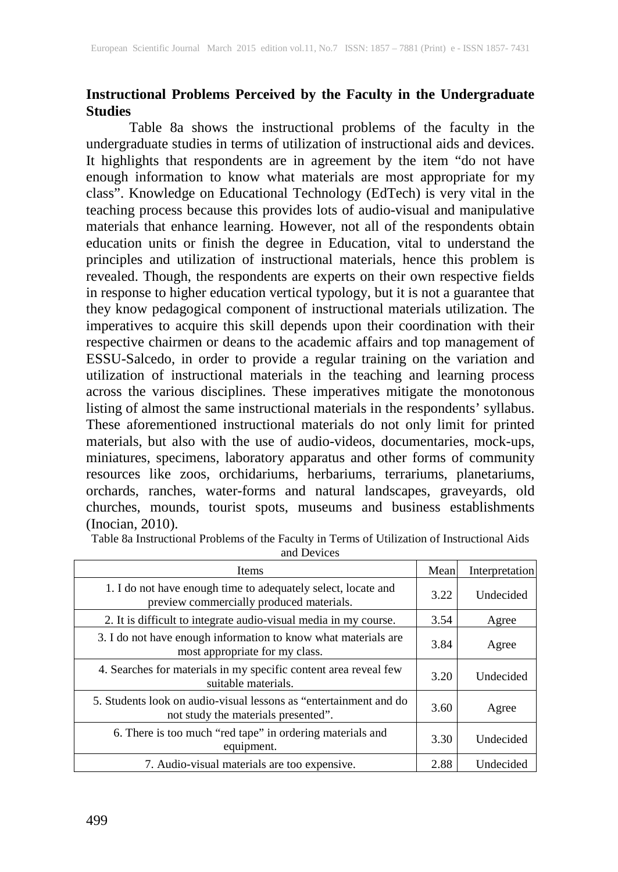## **Instructional Problems Perceived by the Faculty in the Undergraduate Studies**

Table 8a shows the instructional problems of the faculty in the undergraduate studies in terms of utilization of instructional aids and devices. It highlights that respondents are in agreement by the item "do not have enough information to know what materials are most appropriate for my class". Knowledge on Educational Technology (EdTech) is very vital in the teaching process because this provides lots of audio-visual and manipulative materials that enhance learning. However, not all of the respondents obtain education units or finish the degree in Education, vital to understand the principles and utilization of instructional materials, hence this problem is revealed. Though, the respondents are experts on their own respective fields in response to higher education vertical typology, but it is not a guarantee that they know pedagogical component of instructional materials utilization. The imperatives to acquire this skill depends upon their coordination with their respective chairmen or deans to the academic affairs and top management of ESSU-Salcedo, in order to provide a regular training on the variation and utilization of instructional materials in the teaching and learning process across the various disciplines. These imperatives mitigate the monotonous listing of almost the same instructional materials in the respondents' syllabus. These aforementioned instructional materials do not only limit for printed materials, but also with the use of audio-videos, documentaries, mock-ups, miniatures, specimens, laboratory apparatus and other forms of community resources like zoos, orchidariums, herbariums, terrariums, planetariums, orchards, ranches, water-forms and natural landscapes, graveyards, old churches, mounds, tourist spots, museums and business establishments (Inocian, 2010).

| <b>Items</b>                                                                                              | Mean | Interpretation |
|-----------------------------------------------------------------------------------------------------------|------|----------------|
| 1. I do not have enough time to adequately select, locate and<br>preview commercially produced materials. | 3.22 | Undecided      |
| 2. It is difficult to integrate audio-visual media in my course.                                          | 3.54 | Agree          |
| 3. I do not have enough information to know what materials are<br>most appropriate for my class.          | 3.84 | Agree          |
| 4. Searches for materials in my specific content area reveal few<br>suitable materials.                   | 3.20 | Undecided      |
| 5. Students look on audio-visual lessons as "entertainment and do<br>not study the materials presented".  | 3.60 | Agree          |
| 6. There is too much "red tape" in ordering materials and<br>equipment.                                   | 3.30 | Undecided      |
| 7. Audio-visual materials are too expensive.                                                              | 2.88 | Undecided      |

Table 8a Instructional Problems of the Faculty in Terms of Utilization of Instructional Aids

and Devices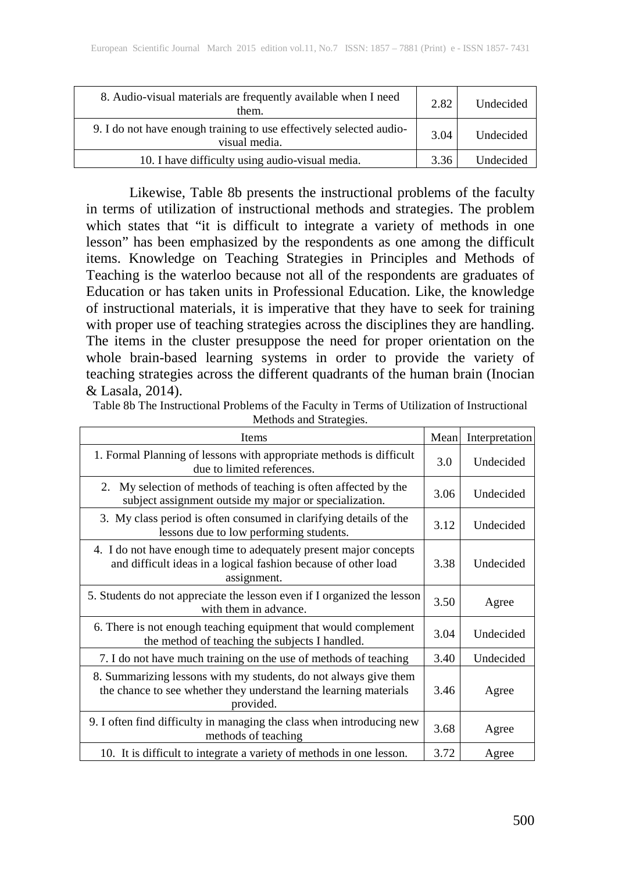| 8. Audio-visual materials are frequently available when I need<br>them.              | 2.82 | Undecided |
|--------------------------------------------------------------------------------------|------|-----------|
| 9. I do not have enough training to use effectively selected audio-<br>visual media. | 3.04 | Undecided |
| 10. I have difficulty using audio-visual media.                                      | 3.36 | Undecided |

 Likewise, Table 8b presents the instructional problems of the faculty in terms of utilization of instructional methods and strategies. The problem which states that "it is difficult to integrate a variety of methods in one lesson" has been emphasized by the respondents as one among the difficult items. Knowledge on Teaching Strategies in Principles and Methods of Teaching is the waterloo because not all of the respondents are graduates of Education or has taken units in Professional Education. Like, the knowledge of instructional materials, it is imperative that they have to seek for training with proper use of teaching strategies across the disciplines they are handling. The items in the cluster presuppose the need for proper orientation on the whole brain-based learning systems in order to provide the variety of teaching strategies across the different quadrants of the human brain (Inocian & Lasala, 2014).

| methods and Dualegies.                                                                                                                             |      |                |
|----------------------------------------------------------------------------------------------------------------------------------------------------|------|----------------|
| Items                                                                                                                                              | Mean | Interpretation |
| 1. Formal Planning of lessons with appropriate methods is difficult<br>due to limited references.                                                  | 3.0  | Undecided      |
| My selection of methods of teaching is often affected by the<br>2.<br>subject assignment outside my major or specialization.                       | 3.06 | Undecided      |
| 3. My class period is often consumed in clarifying details of the<br>lessons due to low performing students.                                       | 3.12 | Undecided      |
| 4. I do not have enough time to adequately present major concepts<br>and difficult ideas in a logical fashion because of other load<br>assignment. | 3.38 | Undecided      |
| 5. Students do not appreciate the lesson even if I organized the lesson<br>with them in advance.                                                   | 3.50 | Agree          |
| 6. There is not enough teaching equipment that would complement<br>the method of teaching the subjects I handled.                                  | 3.04 | Undecided      |
| 7. I do not have much training on the use of methods of teaching                                                                                   | 3.40 | Undecided      |
| 8. Summarizing lessons with my students, do not always give them<br>the chance to see whether they understand the learning materials<br>provided.  | 3.46 | Agree          |
| 9. I often find difficulty in managing the class when introducing new<br>methods of teaching                                                       | 3.68 | Agree          |
| 10. It is difficult to integrate a variety of methods in one lesson.                                                                               | 3.72 | Agree          |

Table 8b The Instructional Problems of the Faculty in Terms of Utilization of Instructional Methods and Strategies.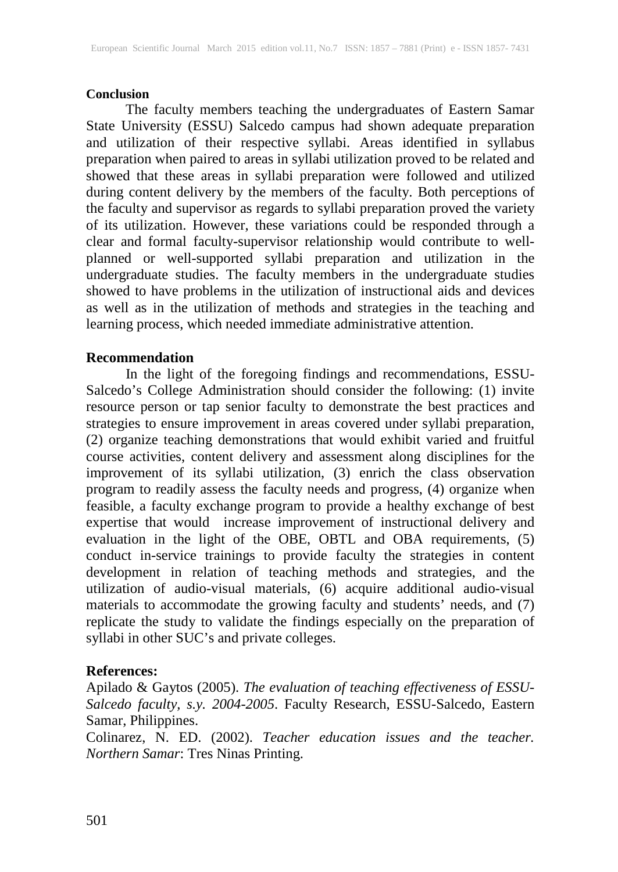#### **Conclusion**

 The faculty members teaching the undergraduates of Eastern Samar State University (ESSU) Salcedo campus had shown adequate preparation and utilization of their respective syllabi. Areas identified in syllabus preparation when paired to areas in syllabi utilization proved to be related and showed that these areas in syllabi preparation were followed and utilized during content delivery by the members of the faculty. Both perceptions of the faculty and supervisor as regards to syllabi preparation proved the variety of its utilization. However, these variations could be responded through a clear and formal faculty-supervisor relationship would contribute to wellplanned or well-supported syllabi preparation and utilization in the undergraduate studies. The faculty members in the undergraduate studies showed to have problems in the utilization of instructional aids and devices as well as in the utilization of methods and strategies in the teaching and learning process, which needed immediate administrative attention.

#### **Recommendation**

 In the light of the foregoing findings and recommendations, ESSU-Salcedo's College Administration should consider the following: (1) invite resource person or tap senior faculty to demonstrate the best practices and strategies to ensure improvement in areas covered under syllabi preparation, (2) organize teaching demonstrations that would exhibit varied and fruitful course activities, content delivery and assessment along disciplines for the improvement of its syllabi utilization, (3) enrich the class observation program to readily assess the faculty needs and progress, (4) organize when feasible, a faculty exchange program to provide a healthy exchange of best expertise that would increase improvement of instructional delivery and evaluation in the light of the OBE, OBTL and OBA requirements, (5) conduct in-service trainings to provide faculty the strategies in content development in relation of teaching methods and strategies, and the utilization of audio-visual materials, (6) acquire additional audio-visual materials to accommodate the growing faculty and students' needs, and (7) replicate the study to validate the findings especially on the preparation of syllabi in other SUC's and private colleges.

#### **References:**

Apilado & Gaytos (2005). *The evaluation of teaching effectiveness of ESSU-Salcedo faculty, s.y. 2004-2005*. Faculty Research, ESSU-Salcedo, Eastern Samar, Philippines.

Colinarez, N. ED. (2002). *Teacher education issues and the teacher. Northern Samar*: Tres Ninas Printing.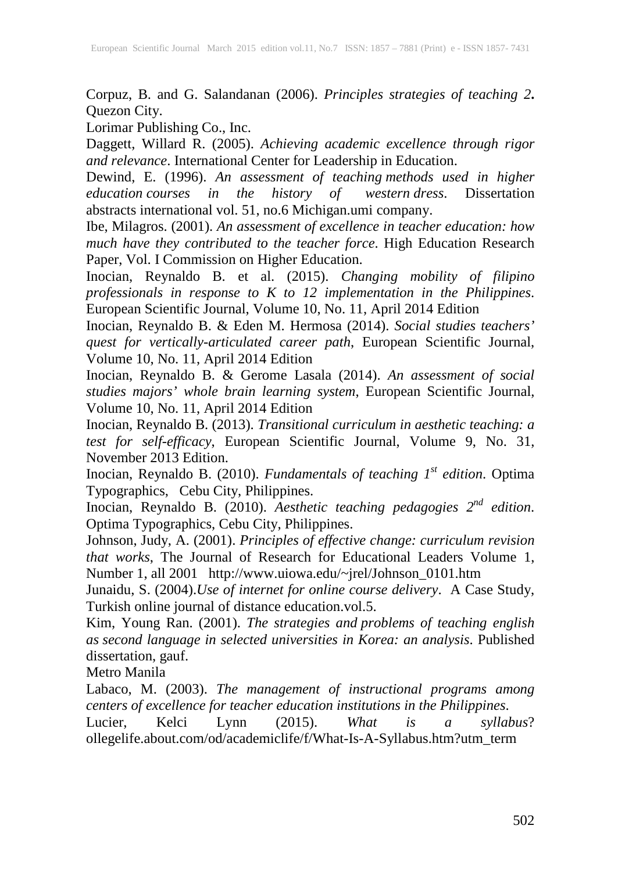Corpuz, B. and G. Salandanan (2006). *Principles strategies of teaching 2***.** Quezon City.

Lorimar Publishing Co., Inc.

Daggett, Willard R. (2005). *Achieving academic excellence through rigor and relevance*. International Center for Leadership in Education.

Dewind, E. (1996). *An assessment of teaching methods used in higher education courses in the history of western dress*. Dissertation abstracts international vol. 51, no.6 Michigan.umi company.

Ibe, Milagros. (2001). *An assessment of excellence in teacher education: how much have they contributed to the teacher force*. High Education Research Paper, Vol. I Commission on Higher Education.

Inocian, Reynaldo B. et al. (2015). *Changing mobility of filipino professionals in response to K to 12 implementation in the Philippines*. European Scientific Journal, Volume 10, No. 11, April 2014 Edition

Inocian, Reynaldo B. & Eden M. Hermosa (2014). *Social studies teachers' quest for vertically-articulated career path*, European Scientific Journal, Volume 10, No. 11, April 2014 Edition

Inocian, Reynaldo B. & Gerome Lasala (2014). *An assessment of social studies majors' whole brain learning system*, European Scientific Journal, Volume 10, No. 11, April 2014 Edition

Inocian, Reynaldo B. (2013). *Transitional curriculum in aesthetic teaching: a test for self-efficacy*, European Scientific Journal, Volume 9, No. 31, November 2013 Edition.

Inocian, Reynaldo B. (2010). *Fundamentals of teaching 1st edition*. Optima Typographics, Cebu City, Philippines.

Inocian, Reynaldo B. (2010). *Aesthetic teaching pedagogies 2nd edition*. Optima Typographics, Cebu City, Philippines.

Johnson, Judy, A. (2001). *Principles of effective change: curriculum revision that works*, The Journal of Research for Educational Leaders Volume 1, Number 1, all 2001 http://www.uiowa.edu/~jrel/Johnson\_0101.htm

Junaidu, S. (2004).*Use of internet for online course delivery*. A Case Study, Turkish online journal of distance education.vol.5.

Kim, Young Ran. (2001). *The strategies and problems of teaching english as second language in selected universities in Korea: an analysis*. Published dissertation, gauf.

Metro Manila

Labaco, M. (2003). *The management of instructional programs among centers of excellence for teacher education institutions in the Philippines*.

Lucier, Kelci Lynn (2015). *What is a syllabus*? ollegelife.about.com/od/academiclife/f/What-Is-A-Syllabus.htm?utm\_term